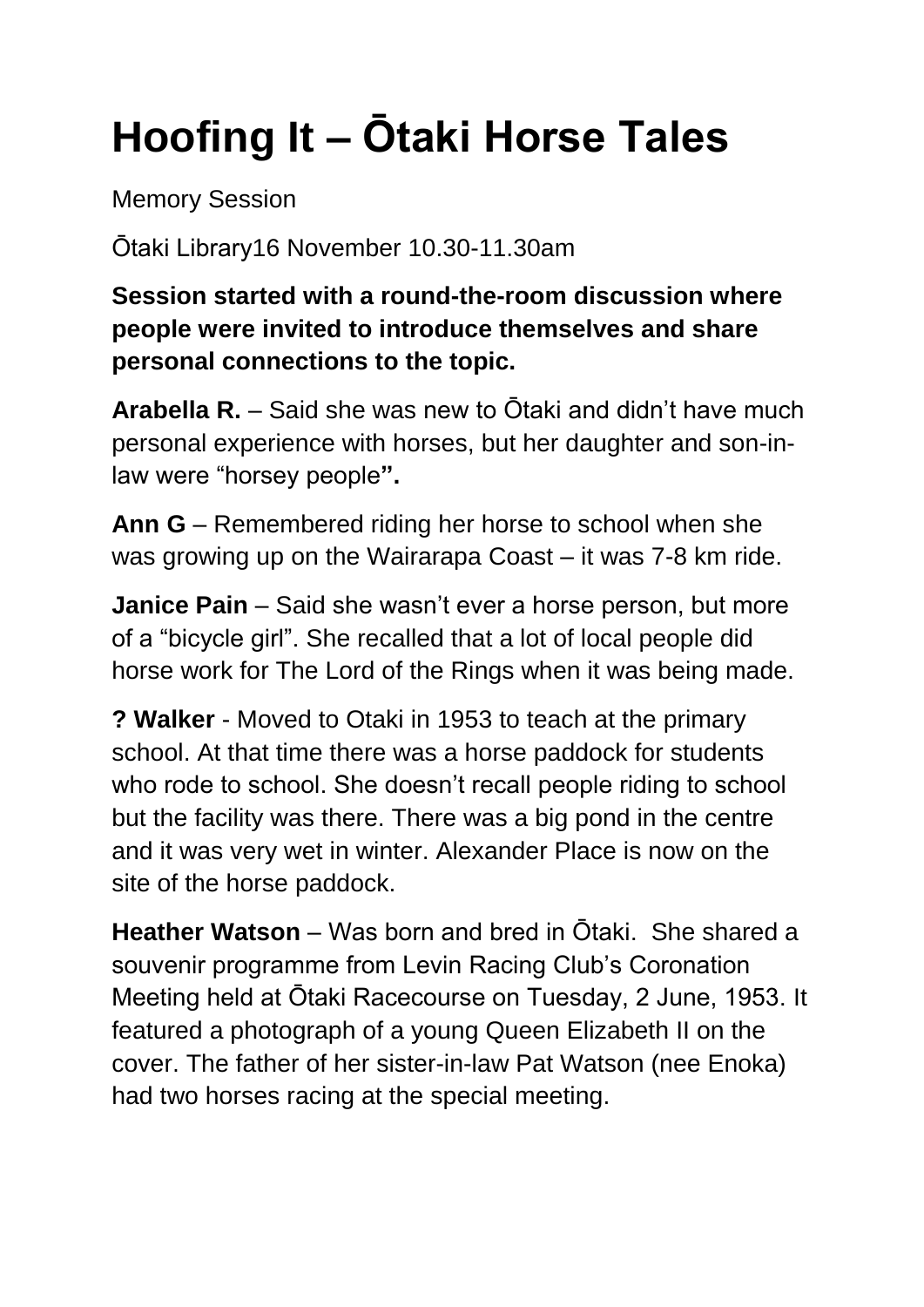## **Hoofing It – Ōtaki Horse Tales**

Memory Session

Ōtaki Library16 November 10.30-11.30am

**Session started with a round-the-room discussion where people were invited to introduce themselves and share personal connections to the topic.**

**Arabella R.** – Said she was new to Ōtaki and didn't have much personal experience with horses, but her daughter and son-inlaw were "horsey people**".**

Ann G – Remembered riding her horse to school when she was growing up on the Wairarapa Coast – it was 7-8 km ride.

**Janice Pain** – Said she wasn't ever a horse person, but more of a "bicycle girl". She recalled that a lot of local people did horse work for The Lord of the Rings when it was being made.

**? Walker** - Moved to Otaki in 1953 to teach at the primary school. At that time there was a horse paddock for students who rode to school. She doesn't recall people riding to school but the facility was there. There was a big pond in the centre and it was very wet in winter. Alexander Place is now on the site of the horse paddock.

**Heather Watson** – Was born and bred in Ōtaki. She shared a souvenir programme from Levin Racing Club's Coronation Meeting held at Ōtaki Racecourse on Tuesday, 2 June, 1953. It featured a photograph of a young Queen Elizabeth II on the cover. The father of her sister-in-law Pat Watson (nee Enoka) had two horses racing at the special meeting.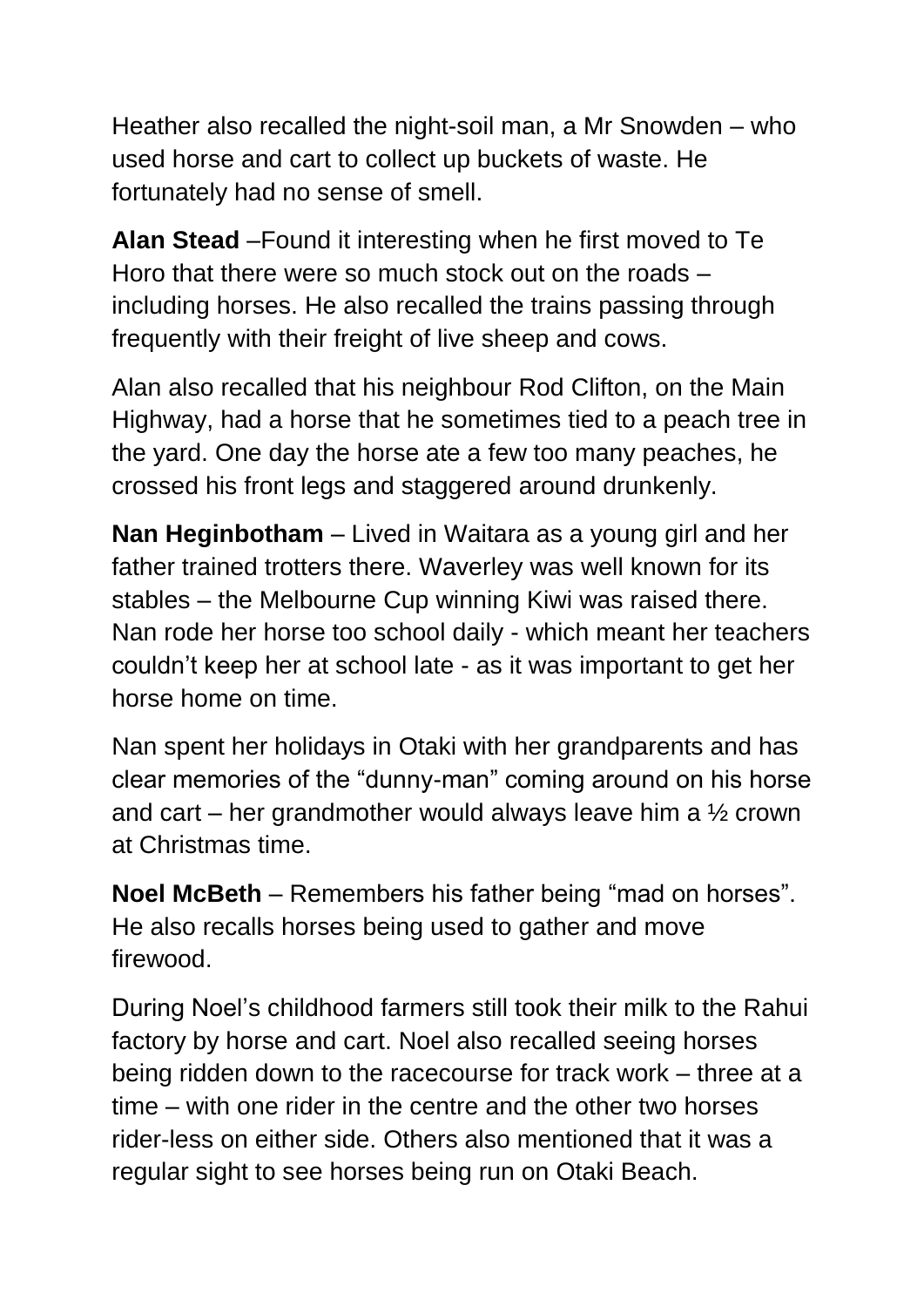Heather also recalled the night-soil man, a Mr Snowden – who used horse and cart to collect up buckets of waste. He fortunately had no sense of smell.

**Alan Stead** –Found it interesting when he first moved to Te Horo that there were so much stock out on the roads – including horses. He also recalled the trains passing through frequently with their freight of live sheep and cows.

Alan also recalled that his neighbour Rod Clifton, on the Main Highway, had a horse that he sometimes tied to a peach tree in the yard. One day the horse ate a few too many peaches, he crossed his front legs and staggered around drunkenly.

**Nan Heginbotham** – Lived in Waitara as a young girl and her father trained trotters there. Waverley was well known for its stables – the Melbourne Cup winning Kiwi was raised there. Nan rode her horse too school daily - which meant her teachers couldn't keep her at school late - as it was important to get her horse home on time.

Nan spent her holidays in Otaki with her grandparents and has clear memories of the "dunny-man" coming around on his horse and cart – her grandmother would always leave him a ½ crown at Christmas time.

**Noel McBeth** – Remembers his father being "mad on horses". He also recalls horses being used to gather and move firewood.

During Noel's childhood farmers still took their milk to the Rahui factory by horse and cart. Noel also recalled seeing horses being ridden down to the racecourse for track work – three at a time – with one rider in the centre and the other two horses rider-less on either side. Others also mentioned that it was a regular sight to see horses being run on Otaki Beach.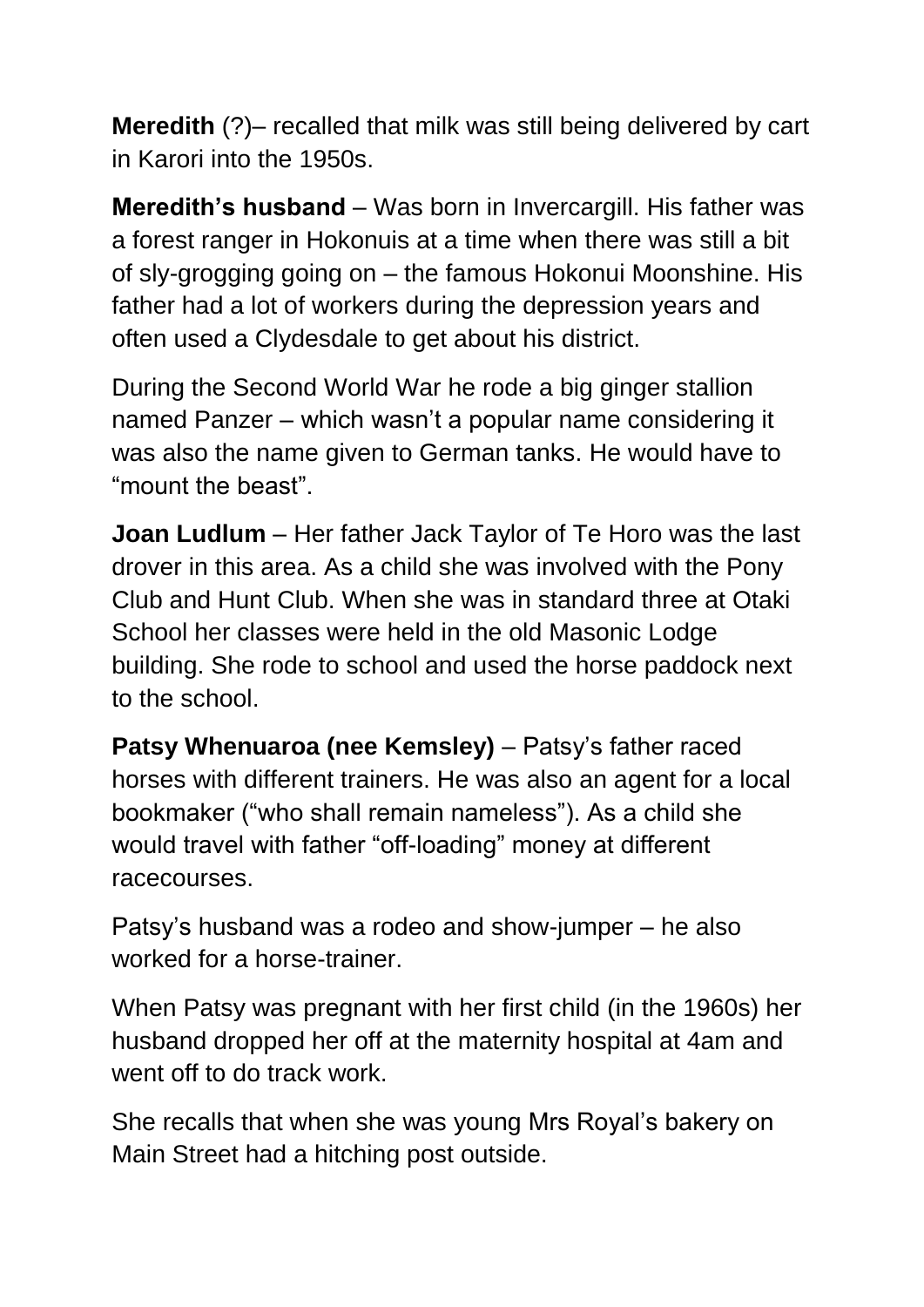**Meredith** (?)– recalled that milk was still being delivered by cart in Karori into the 1950s.

**Meredith's husband** – Was born in Invercargill. His father was a forest ranger in Hokonuis at a time when there was still a bit of sly-grogging going on – the famous Hokonui Moonshine. His father had a lot of workers during the depression years and often used a Clydesdale to get about his district.

During the Second World War he rode a big ginger stallion named Panzer – which wasn't a popular name considering it was also the name given to German tanks. He would have to "mount the beast".

**Joan Ludlum** – Her father Jack Taylor of Te Horo was the last drover in this area. As a child she was involved with the Pony Club and Hunt Club. When she was in standard three at Otaki School her classes were held in the old Masonic Lodge building. She rode to school and used the horse paddock next to the school.

**Patsy Whenuaroa (nee Kemsley)** – Patsy's father raced horses with different trainers. He was also an agent for a local bookmaker ("who shall remain nameless"). As a child she would travel with father "off-loading" money at different racecourses.

Patsy's husband was a rodeo and show-jumper – he also worked for a horse-trainer.

When Patsy was pregnant with her first child (in the 1960s) her husband dropped her off at the maternity hospital at 4am and went off to do track work.

She recalls that when she was young Mrs Royal's bakery on Main Street had a hitching post outside.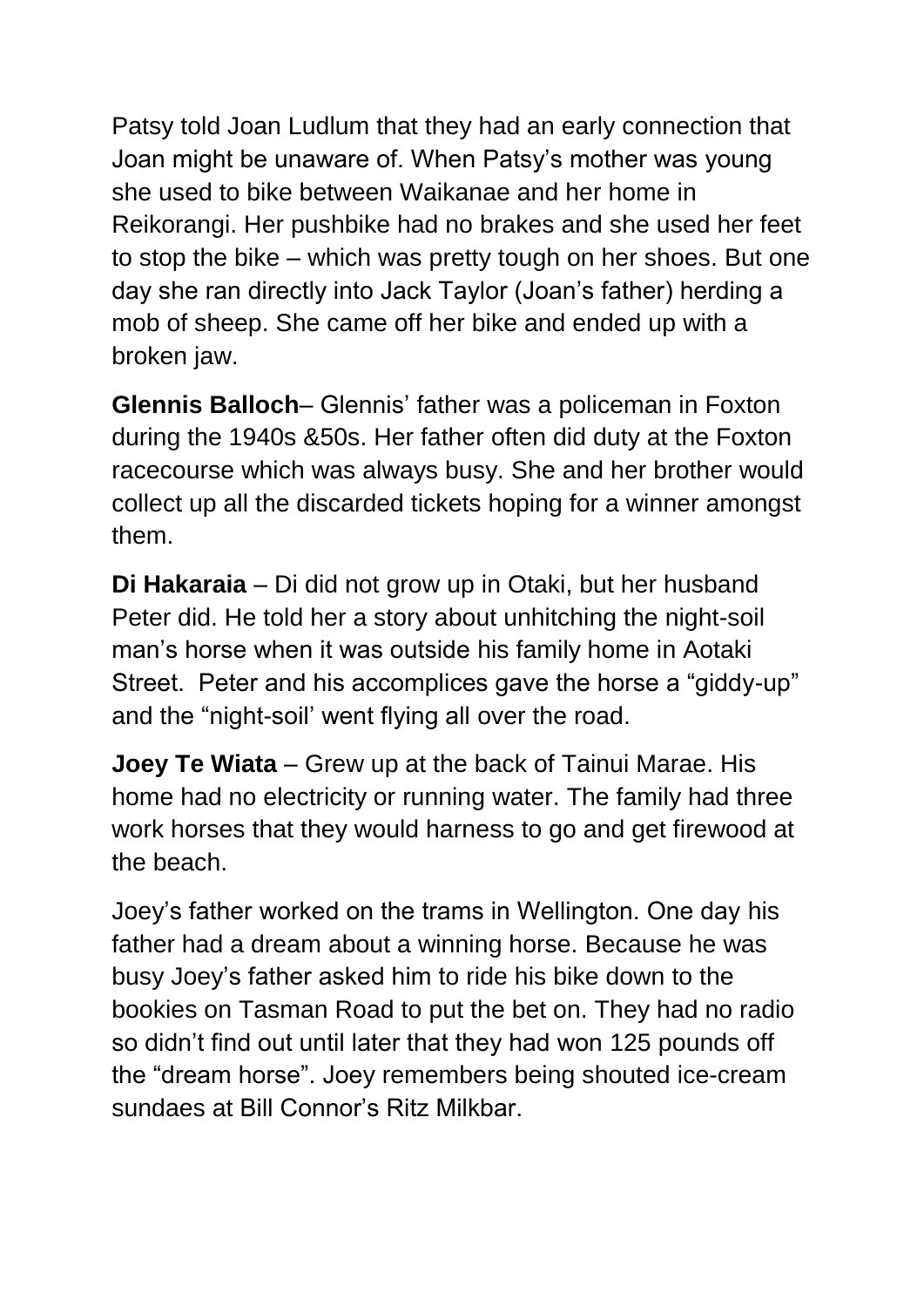Patsy told Joan Ludlum that they had an early connection that Joan might be unaware of. When Patsy's mother was young she used to bike between Waikanae and her home in Reikorangi. Her pushbike had no brakes and she used her feet to stop the bike – which was pretty tough on her shoes. But one day she ran directly into Jack Taylor (Joan's father) herding a mob of sheep. She came off her bike and ended up with a broken jaw.

**Glennis Balloch**– Glennis' father was a policeman in Foxton during the 1940s &50s. Her father often did duty at the Foxton racecourse which was always busy. She and her brother would collect up all the discarded tickets hoping for a winner amongst them.

**Di Hakaraia** – Di did not grow up in Otaki, but her husband Peter did. He told her a story about unhitching the night-soil man's horse when it was outside his family home in Aotaki Street. Peter and his accomplices gave the horse a "giddy-up" and the "night-soil' went flying all over the road.

**Joey Te Wiata** – Grew up at the back of Tainui Marae. His home had no electricity or running water. The family had three work horses that they would harness to go and get firewood at the beach.

Joey's father worked on the trams in Wellington. One day his father had a dream about a winning horse. Because he was busy Joey's father asked him to ride his bike down to the bookies on Tasman Road to put the bet on. They had no radio so didn't find out until later that they had won 125 pounds off the "dream horse". Joey remembers being shouted ice-cream sundaes at Bill Connor's Ritz Milkbar.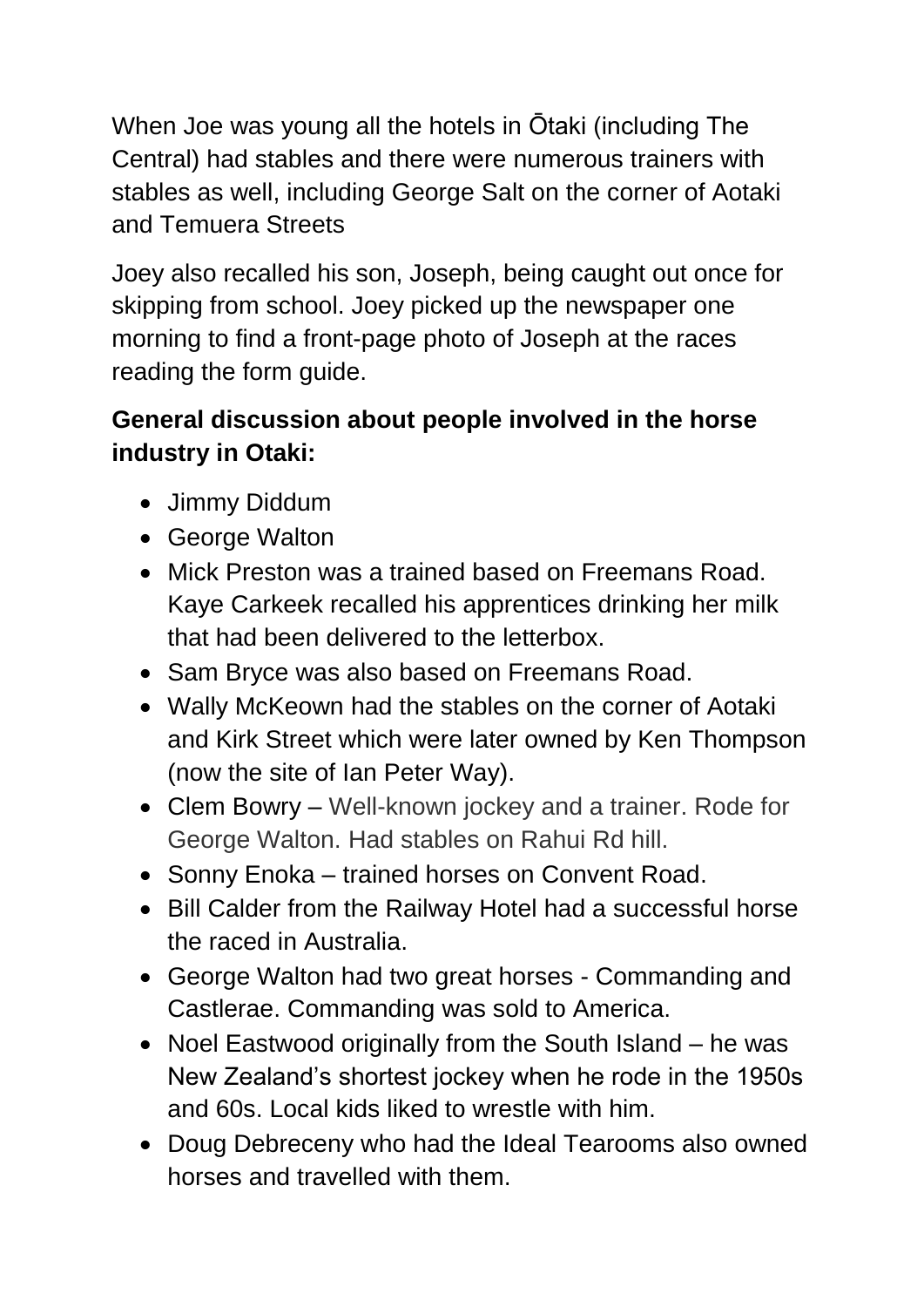When Joe was young all the hotels in Ōtaki (including The Central) had stables and there were numerous trainers with stables as well, including George Salt on the corner of Aotaki and Temuera Streets

Joey also recalled his son, Joseph, being caught out once for skipping from school. Joey picked up the newspaper one morning to find a front-page photo of Joseph at the races reading the form guide.

## **General discussion about people involved in the horse industry in Otaki:**

- Jimmy Diddum
- George Walton
- Mick Preston was a trained based on Freemans Road. Kaye Carkeek recalled his apprentices drinking her milk that had been delivered to the letterbox.
- Sam Bryce was also based on Freemans Road.
- Wally McKeown had the stables on the corner of Aotaki and Kirk Street which were later owned by Ken Thompson (now the site of Ian Peter Way).
- Clem Bowry Well-known jockey and a trainer. Rode for George Walton. Had stables on Rahui Rd hill.
- Sonny Enoka trained horses on Convent Road.
- Bill Calder from the Railway Hotel had a successful horse the raced in Australia.
- George Walton had two great horses Commanding and Castlerae. Commanding was sold to America.
- Noel Eastwood originally from the South Island he was New Zealand's shortest jockey when he rode in the 1950s and 60s. Local kids liked to wrestle with him.
- Doug Debreceny who had the Ideal Tearooms also owned horses and travelled with them.